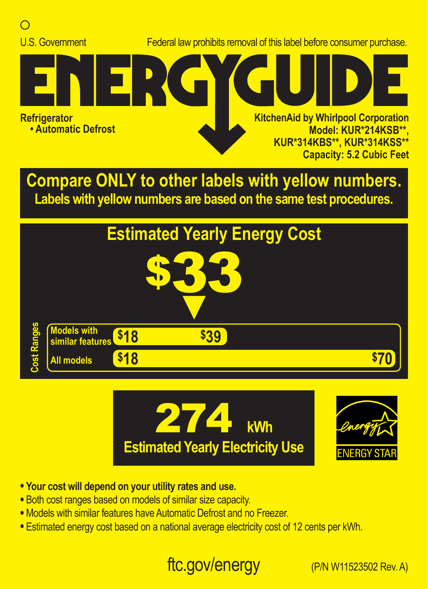

**Labels with yellow numbers are based on the same test procedures.**







- **• Your cost will depend on your utility rates and use.**
- **•** Both cost ranges based on models of similar size capacity.
- **•** Models with similar features have Automatic Defrost and no Freezer.
- **•** Estimated energy cost based on a national average electricity cost of 12 cents per kWh.

## ftc.gov/energy (P/N W11523502 Rev. A)